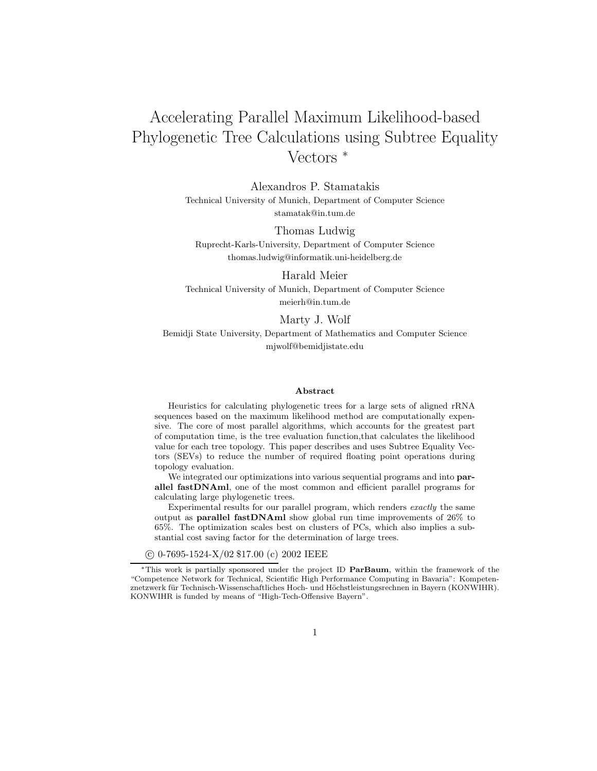# Accelerating Parallel Maximum Likelihood-based Phylogenetic Tree Calculations using Subtree Equality Vectors <sup>∗</sup>

Alexandros P. Stamatakis Technical University of Munich, Department of Computer Science stamatak@in.tum.de

Thomas Ludwig Ruprecht-Karls-University, Department of Computer Science thomas.ludwig@informatik.uni-heidelberg.de

Harald Meier Technical University of Munich, Department of Computer Science meierh@in.tum.de

Marty J. Wolf

Bemidji State University, Department of Mathematics and Computer Science mjwolf@bemidjistate.edu

#### **Abstract**

Heuristics for calculating phylogenetic trees for a large sets of aligned rRNA sequences based on the maximum likelihood method are computationally expensive. The core of most parallel algorithms, which accounts for the greatest part of computation time, is the tree evaluation function,that calculates the likelihood value for each tree topology. This paper describes and uses Subtree Equality Vectors (SEVs) to reduce the number of required floating point operations during topology evaluation.

We integrated our optimizations into various sequential programs and into **parallel fastDNAml**, one of the most common and efficient parallel programs for calculating large phylogenetic trees.

Experimental results for our parallel program, which renders *exactly* the same output as **parallel fastDNAml** show global run time improvements of 26% to 65%. The optimization scales best on clusters of PCs, which also implies a substantial cost saving factor for the determination of large trees.

-c 0-7695-1524-X/02 \$17.00 (c) 2002 IEEE

<sup>∗</sup>This work is partially sponsored under the project ID **ParBaum**, within the framework of the "Competence Network for Technical, Scientific High Performance Computing in Bavaria": Kompetenznetzwerk für Technisch-Wissenschaftliches Hoch- und Höchstleistungsrechnen in Bayern (KONWIHR). KONWIHR is funded by means of "High-Tech-Offensive Bayern".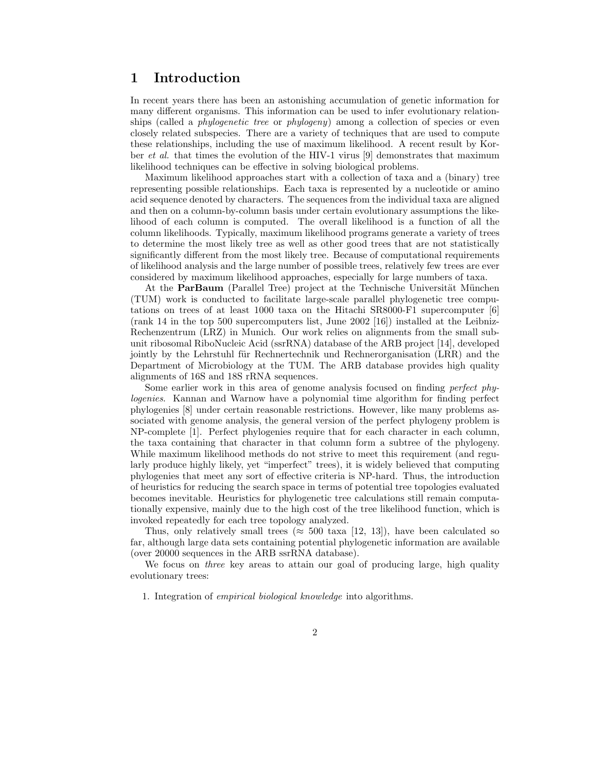## **1 Introduction**

In recent years there has been an astonishing accumulation of genetic information for many different organisms. This information can be used to infer evolutionary relationships (called a *phylogenetic tree* or *phylogeny*) among a collection of species or even closely related subspecies. There are a variety of techniques that are used to compute these relationships, including the use of maximum likelihood. A recent result by Korber *et al.* that times the evolution of the HIV-1 virus [9] demonstrates that maximum likelihood techniques can be effective in solving biological problems.

Maximum likelihood approaches start with a collection of taxa and a (binary) tree representing possible relationships. Each taxa is represented by a nucleotide or amino acid sequence denoted by characters. The sequences from the individual taxa are aligned and then on a column-by-column basis under certain evolutionary assumptions the likelihood of each column is computed. The overall likelihood is a function of all the column likelihoods. Typically, maximum likelihood programs generate a variety of trees to determine the most likely tree as well as other good trees that are not statistically significantly different from the most likely tree. Because of computational requirements of likelihood analysis and the large number of possible trees, relatively few trees are ever considered by maximum likelihood approaches, especially for large numbers of taxa.

At the **ParBaum** (Parallel Tree) project at the Technische Universität München (TUM) work is conducted to facilitate large-scale parallel phylogenetic tree computations on trees of at least 1000 taxa on the Hitachi SR8000-F1 supercomputer [6] (rank 14 in the top 500 supercomputers list, June 2002 [16]) installed at the Leibniz-Rechenzentrum (LRZ) in Munich. Our work relies on alignments from the small subunit ribosomal RiboNucleic Acid (ssrRNA) database of the ARB project [14], developed jointly by the Lehrstuhl für Rechnertechnik und Rechnerorganisation (LRR) and the Department of Microbiology at the TUM. The ARB database provides high quality alignments of 16S and 18S rRNA sequences.

Some earlier work in this area of genome analysis focused on finding *perfect phylogenies*. Kannan and Warnow have a polynomial time algorithm for finding perfect phylogenies [8] under certain reasonable restrictions. However, like many problems associated with genome analysis, the general version of the perfect phylogeny problem is NP-complete [1]. Perfect phylogenies require that for each character in each column, the taxa containing that character in that column form a subtree of the phylogeny. While maximum likelihood methods do not strive to meet this requirement (and regularly produce highly likely, yet "imperfect" trees), it is widely believed that computing phylogenies that meet any sort of effective criteria is NP-hard. Thus, the introduction of heuristics for reducing the search space in terms of potential tree topologies evaluated becomes inevitable. Heuristics for phylogenetic tree calculations still remain computationally expensive, mainly due to the high cost of the tree likelihood function, which is invoked repeatedly for each tree topology analyzed.

Thus, only relatively small trees ( $\approx$  500 taxa [12, 13]), have been calculated so far, although large data sets containing potential phylogenetic information are available (over 20000 sequences in the ARB ssrRNA database).

We focus on *three* key areas to attain our goal of producing large, high quality evolutionary trees:

1. Integration of *empirical biological knowledge* into algorithms.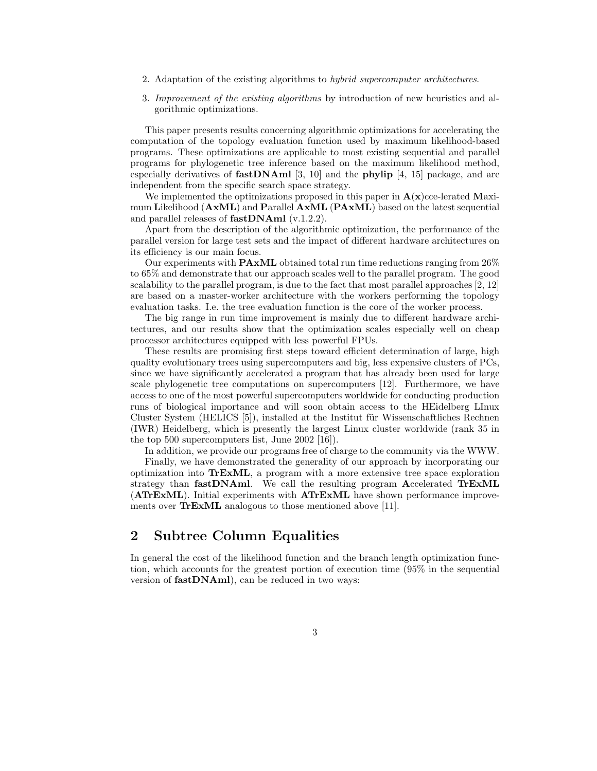- 2. Adaptation of the existing algorithms to *hybrid supercomputer architectures*.
- 3. *Improvement of the existing algorithms* by introduction of new heuristics and algorithmic optimizations.

This paper presents results concerning algorithmic optimizations for accelerating the computation of the topology evaluation function used by maximum likelihood-based programs. These optimizations are applicable to most existing sequential and parallel programs for phylogenetic tree inference based on the maximum likelihood method, especially derivatives of **fastDNAml** [3, 10] and the **phylip** [4, 15] package, and are independent from the specific search space strategy.

We implemented the optimizations proposed in this paper in  $\mathbf{A}(\mathbf{x})$  cce-lerated **Maxi**mum **L**ikelihood (**AxML**) and **P**arallel **AxML** (**PAxML**) based on the latest sequential and parallel releases of **fastDNAml** (v.1.2.2).

Apart from the description of the algorithmic optimization, the performance of the parallel version for large test sets and the impact of different hardware architectures on its efficiency is our main focus.

Our experiments with **PAxML** obtained total run time reductions ranging from 26% to 65% and demonstrate that our approach scales well to the parallel program. The good scalability to the parallel program, is due to the fact that most parallel approaches [2, 12] are based on a master-worker architecture with the workers performing the topology evaluation tasks. I.e. the tree evaluation function is the core of the worker process.

The big range in run time improvement is mainly due to different hardware architectures, and our results show that the optimization scales especially well on cheap processor architectures equipped with less powerful FPUs.

These results are promising first steps toward efficient determination of large, high quality evolutionary trees using supercomputers and big, less expensive clusters of PCs, since we have significantly accelerated a program that has already been used for large scale phylogenetic tree computations on supercomputers [12]. Furthermore, we have access to one of the most powerful supercomputers worldwide for conducting production runs of biological importance and will soon obtain access to the HEidelberg LInux Cluster System (HELICS [5]), installed at the Institut für Wissenschaftliches Rechnen (IWR) Heidelberg, which is presently the largest Linux cluster worldwide (rank 35 in the top 500 supercomputers list, June 2002 [16]).

In addition, we provide our programs free of charge to the community via the WWW.

Finally, we have demonstrated the generality of our approach by incorporating our optimization into **TrExML**, a program with a more extensive tree space exploration strategy than **fastDNAml**. We call the resulting program **A**ccelerated **TrExML** (**ATrExML**). Initial experiments with **ATrExML** have shown performance improvements over **TrExML** analogous to those mentioned above [11].

## **2 Subtree Column Equalities**

In general the cost of the likelihood function and the branch length optimization function, which accounts for the greatest portion of execution time (95% in the sequential version of **fastDNAml**), can be reduced in two ways: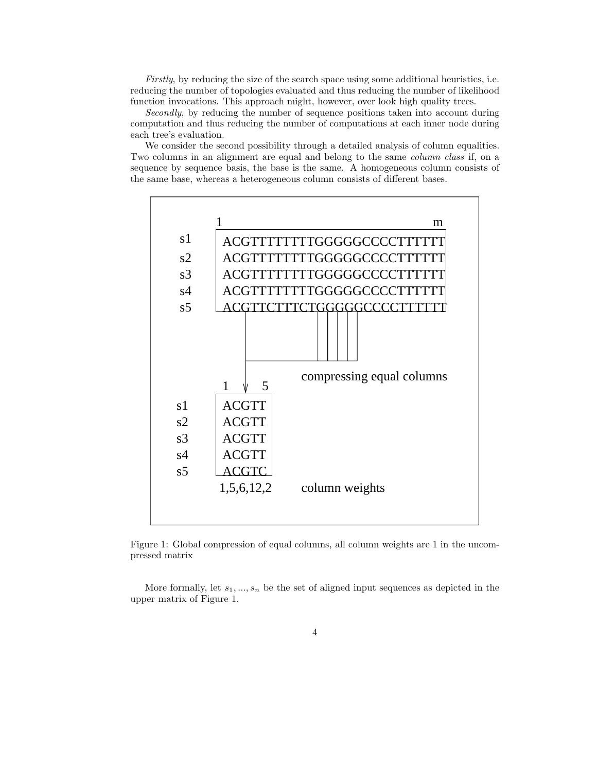*Firstly*, by reducing the size of the search space using some additional heuristics, i.e. reducing the number of topologies evaluated and thus reducing the number of likelihood function invocations. This approach might, however, over look high quality trees.

*Secondly*, by reducing the number of sequence positions taken into account during computation and thus reducing the number of computations at each inner node during each tree's evaluation.

We consider the second possibility through a detailed analysis of column equalities. Two columns in an alignment are equal and belong to the same *column class* if, on a sequence by sequence basis, the base is the same. A homogeneous column consists of the same base, whereas a heterogeneous column consists of different bases.



Figure 1: Global compression of equal columns, all column weights are 1 in the uncompressed matrix

More formally, let *s*1*, ..., s<sup>n</sup>* be the set of aligned input sequences as depicted in the upper matrix of Figure 1.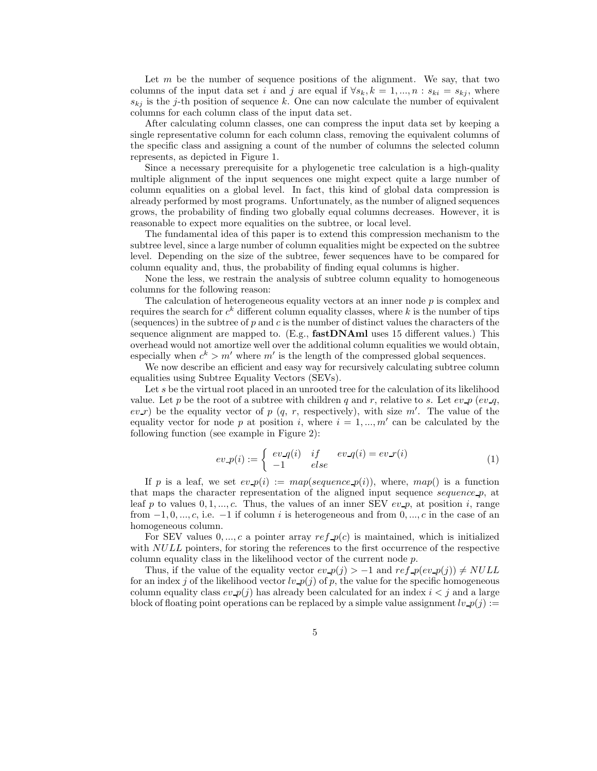Let *m* be the number of sequence positions of the alignment. We say, that two columns of the input data set *i* and *j* are equal if  $\forall s_k, k = 1, ..., n : s_{ki} = s_{kj}$ , where  $s_{kj}$  is the *j*-th position of sequence *k*. One can now calculate the number of equivalent columns for each column class of the input data set.

After calculating column classes, one can compress the input data set by keeping a single representative column for each column class, removing the equivalent columns of the specific class and assigning a count of the number of columns the selected column represents, as depicted in Figure 1.

Since a necessary prerequisite for a phylogenetic tree calculation is a high-quality multiple alignment of the input sequences one might expect quite a large number of column equalities on a global level. In fact, this kind of global data compression is already performed by most programs. Unfortunately, as the number of aligned sequences grows, the probability of finding two globally equal columns decreases. However, it is reasonable to expect more equalities on the subtree, or local level.

The fundamental idea of this paper is to extend this compression mechanism to the subtree level, since a large number of column equalities might be expected on the subtree level. Depending on the size of the subtree, fewer sequences have to be compared for column equality and, thus, the probability of finding equal columns is higher.

None the less, we restrain the analysis of subtree column equality to homogeneous columns for the following reason:

The calculation of heterogeneous equality vectors at an inner node *p* is complex and requires the search for  $c^k$  different column equality classes, where  $k$  is the number of tips (sequences) in the subtree of *p* and *c* is the number of distinct values the characters of the sequence alignment are mapped to. (E.g., **fastDNAml** uses 15 different values.) This overhead would not amortize well over the additional column equalities we would obtain, especially when  $c^k > m'$  where  $m'$  is the length of the compressed global sequences.

We now describe an efficient and easy way for recursively calculating subtree column equalities using Subtree Equality Vectors (SEVs).

Let *s* be the virtual root placed in an unrooted tree for the calculation of its likelihood value. Let p be the root of a subtree with children q and r, relative to s. Let  $ev_p$  ( $ev_q$ ,  $ev(r)$  be the equality vector of p  $(q, r,$  respectively), with size m'. The value of the equality vector for node p at position *i*, where  $i = 1, ..., m'$  can be calculated by the following function (see example in Figure 2):

$$
ev\_p(i) := \begin{cases} ev\_q(i) & if \quad ev\_q(i) = ev\_r(i) \\ -1 & else \end{cases}
$$
 (1)

If *p* is a leaf, we set  $ev_p(i) := map(sequence_p(i))$ , where,  $map()$  is a function that maps the character representation of the aligned input sequence *sequence p*, at leaf *p* to values  $0, 1, \ldots, c$ . Thus, the values of an inner SEV  $ev\_p$ , at position *i*, range from −1*,* 0*, ..., c*, i.e. −1 if column *i* is heterogeneous and from 0*, ..., c* in the case of an homogeneous column.

For SEV values 0*, ..., c* a pointer array *ref p*(*c*) is maintained, which is initialized with *NULL* pointers, for storing the references to the first occurrence of the respective column equality class in the likelihood vector of the current node *p*.

Thus, if the value of the equality vector  $ev_p(j) > -1$  and  $ref_p(ev_p(j)) \neq NULL$ for an index *j* of the likelihood vector  $lv_{\textit{-}p}(j)$  of *p*, the value for the specific homogeneous column equality class  $ev_{\mathcal{P}}(j)$  has already been calculated for an index  $i < j$  and a large block of floating point operations can be replaced by a simple value assignment  $lv_{\perp}p(j) :=$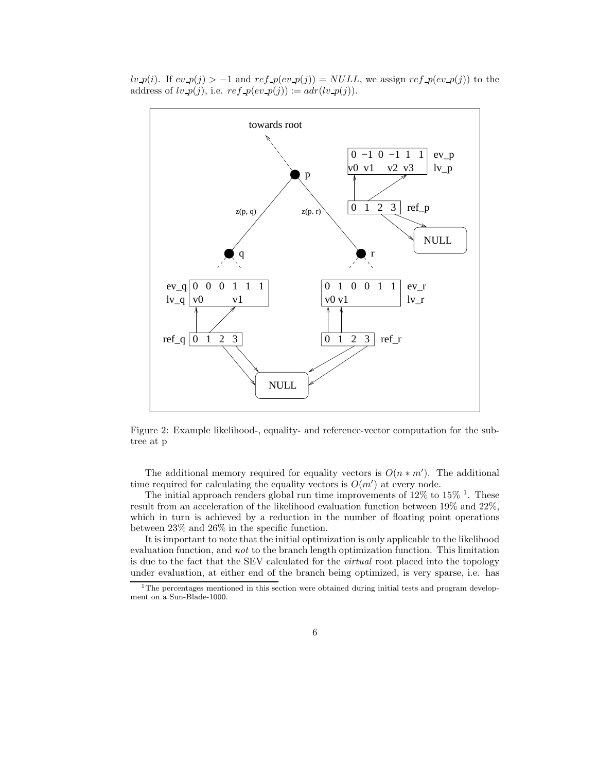

*lv p*(*i*). If *ev p*(*j*) > −1 and *ref*  $p(ev_p(j)) = NULL$ , we assign *ref*  $p(ev_p(j))$  to the address of  $lv$  *p*(*j*), i.e.  $ref$  *p*( $ev$  *p*(*j*)) :=  $adr(lv$  *p*(*j*)).

Figure 2: Example likelihood-, equality- and reference-vector computation for the subtree at p

The additional memory required for equality vectors is  $O(n * m')$ . The additional time required for calculating the equality vectors is  $O(m')$  at every node.

The initial approach renders global run time improvements of  $12\%$  to  $15\%$ <sup>1</sup>. These result from an acceleration of the likelihood evaluation function between 19% and 22%, which in turn is achieved by a reduction in the number of floating point operations between 23% and 26% in the specific function.

It is important to note that the initial optimization is only applicable to the likelihood evaluation function, and *not* to the branch length optimization function. This limitation is due to the fact that the SEV calculated for the *virtual* root placed into the topology under evaluation, at either end of the branch being optimized, is very sparse, i.e. has

<sup>&</sup>lt;sup>1</sup>The percentages mentioned in this section were obtained during initial tests and program development on a Sun-Blade-1000.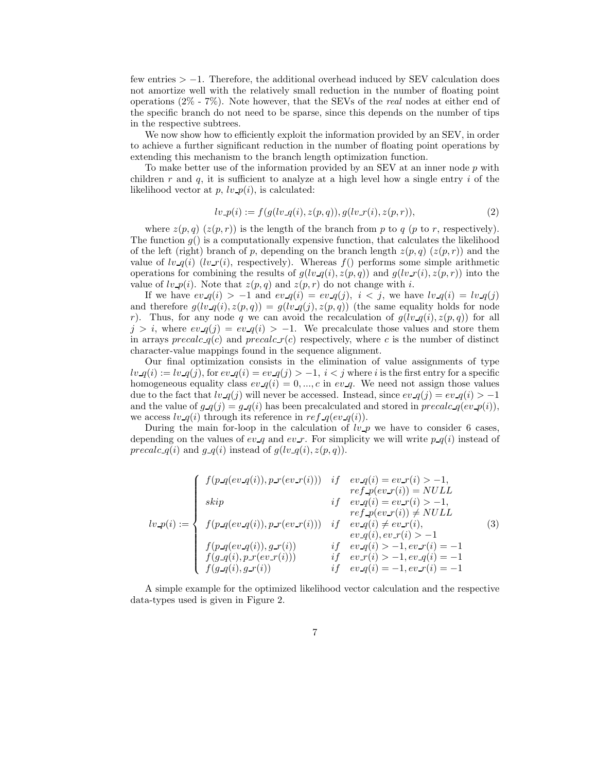few entries *>* −1. Therefore, the additional overhead induced by SEV calculation does not amortize well with the relatively small reduction in the number of floating point operations (2% - 7%). Note however, that the SEVs of the *real* nodes at either end of the specific branch do not need to be sparse, since this depends on the number of tips in the respective subtrees.

We now show how to efficiently exploit the information provided by an SEV, in order to achieve a further significant reduction in the number of floating point operations by extending this mechanism to the branch length optimization function.

To make better use of the information provided by an SEV at an inner node *p* with children *r* and *q*, it is sufficient to analyze at a high level how a single entry *i* of the likelihood vector at  $p$ ,  $lv$   $p(i)$ , is calculated:

$$
lv\ p(i) := f(g(lv\text{-}q(i), z(p, q)), g(lv\text{-}r(i), z(p, r)),\tag{2}
$$

where  $z(p,q)$   $(z(p,r))$  is the length of the branch from p to q (p to r, respectively). The function  $g()$  is a computationally expensive function, that calculates the likelihood of the left (right) branch of *p*, depending on the branch length  $z(p,q)$  ( $z(p,r)$ ) and the value of  $lv_q(i)$  ( $lv_r(i)$ , respectively). Whereas  $f(j)$  performs some simple arithmetic operations for combining the results of  $g(lv_q(i), z(p,q))$  and  $g(lv_r(i), z(p,r))$  into the value of  $lv$   $p(i)$ . Note that  $z(p, q)$  and  $z(p, r)$  do not change with *i*.

If we have  $ev_q(i) > -1$  and  $ev_q(i) = ev_q(j)$ ,  $i < j$ , we have  $lv_q(i) = lv_q(j)$ and therefore  $g(lv_q(i), z(p,q)) = g(lv_q(j), z(p,q))$  (the same equality holds for node *r*). Thus, for any node *q* we can avoid the recalculation of  $g(lv_q(i), z(p,q))$  for all  $j>i$ , where  $ev_q(j) = ev_q(i) > -1$ . We precalculate those values and store them in arrays *precalc*  $q(c)$  and *precalc*  $r(c)$  respectively, where *c* is the number of distinct character-value mappings found in the sequence alignment.

Our final optimization consists in the elimination of value assignments of type  $lv \text{--} q(i) := lv \text{--} q(j)$ , for  $ev \text{--} q(i) = ev \text{--} q(j) > -1$ ,  $i < j$  where *i* is the first entry for a specific homogeneous equality class  $ev_q(i) = 0, ..., c$  in  $ev_q$ . We need not assign those values due to the fact that  $lv_q(j)$  will never be accessed. Instead, since  $ev_q(j) = ev_q(i) > -1$ and the value of  $g \cdot q(j) = g \cdot q(i)$  has been precalculated and stored in  $\text{precalc}_{q}(ev \cdot p(i))$ , we access  $lv_q(i)$  through its reference in  $ref_q(ev_q(i))$ .

During the main for-loop in the calculation of  $lv\_p$  we have to consider 6 cases, depending on the values of  $ev q$  and  $ev r$ . For simplicity we will write  $p q(i)$  instead of *precalc*  $q(i)$  and  $q(q(i))$  instead of  $q(lv(q(i), z(p, q))$ .

$$
lv_{\mathcal{P}}(i) := \begin{cases} f(p_{\mathcal{A}}(ev_{\mathcal{A}}(i)), p_{\mathcal{A}}(ev_{\mathcal{A}}(i))) & if \quad ev_{\mathcal{A}}(i) = ev_{\mathcal{A}}(i) = NULL \\ \text{skip} & if \quad ev_{\mathcal{A}}(i) = ev_{\mathcal{A}}(i) = NULL \\ f(p_{\mathcal{A}}(ev_{\mathcal{A}}(i)), p_{\mathcal{A}}(ev_{\mathcal{A}}(i))) & if \quad ev_{\mathcal{A}}(i) \neq ev_{\mathcal{A}}(i), \\ f(p_{\mathcal{A}}(ev_{\mathcal{A}}(i)), p_{\mathcal{A}}(ev_{\mathcal{A}}(i))) & if \quad ev_{\mathcal{A}}(i) \neq ev_{\mathcal{A}}(i), \\ ev_{\mathcal{A}}(i), ev_{\mathcal{A}}(i) > -1 \\ f(p_{\mathcal{A}}(ev_{\mathcal{A}}(i)), g_{\mathcal{A}}(i)) & if \quad ev_{\mathcal{A}}(i) > -1, ev_{\mathcal{A}}(i) = -1 \\ f(g_{\mathcal{A}}(i), p_{\mathcal{A}}(ev_{\mathcal{A}}(i))) & if \quad ev_{\mathcal{A}}(i) > -1, ev_{\mathcal{A}}(i) = -1 \\ f(g_{\mathcal{A}}(i), g_{\mathcal{A}}(i)) & if \quad ev_{\mathcal{A}}(i) = -1, ev_{\mathcal{A}}(i) = -1 \end{cases} \tag{3}
$$

A simple example for the optimized likelihood vector calculation and the respective data-types used is given in Figure 2.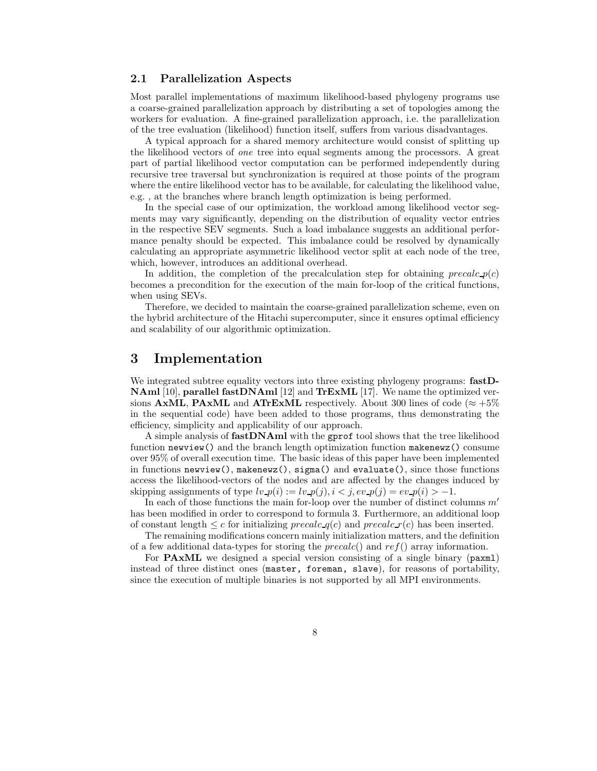#### **2.1 Parallelization Aspects**

Most parallel implementations of maximum likelihood-based phylogeny programs use a coarse-grained parallelization approach by distributing a set of topologies among the workers for evaluation. A fine-grained parallelization approach, i.e. the parallelization of the tree evaluation (likelihood) function itself, suffers from various disadvantages.

A typical approach for a shared memory architecture would consist of splitting up the likelihood vectors of *one* tree into equal segments among the processors. A great part of partial likelihood vector computation can be performed independently during recursive tree traversal but synchronization is required at those points of the program where the entire likelihood vector has to be available, for calculating the likelihood value, e.g. , at the branches where branch length optimization is being performed.

In the special case of our optimization, the workload among likelihood vector segments may vary significantly, depending on the distribution of equality vector entries in the respective SEV segments. Such a load imbalance suggests an additional performance penalty should be expected. This imbalance could be resolved by dynamically calculating an appropriate asymmetric likelihood vector split at each node of the tree, which, however, introduces an additional overhead.

In addition, the completion of the precalculation step for obtaining  $\text{precalc}_{\mathcal{P}}(c)$ becomes a precondition for the execution of the main for-loop of the critical functions, when using SEVs.

Therefore, we decided to maintain the coarse-grained parallelization scheme, even on the hybrid architecture of the Hitachi supercomputer, since it ensures optimal efficiency and scalability of our algorithmic optimization.

## **3 Implementation**

We integrated subtree equality vectors into three existing phylogeny programs: **fastD-NAml** [10], **parallel fastDNAml** [12] and **TrExML** [17]. We name the optimized versions **AxML**, **PAxML** and **ATrExML** respectively. About 300 lines of code ( $\approx +5\%$ in the sequential code) have been added to those programs, thus demonstrating the efficiency, simplicity and applicability of our approach.

A simple analysis of **fastDNAml** with the gprof tool shows that the tree likelihood function newview() and the branch length optimization function makenewz() consume over 95% of overall execution time. The basic ideas of this paper have been implemented in functions newview(), makenewz(), sigma() and evaluate(), since those functions access the likelihood-vectors of the nodes and are affected by the changes induced by skipping assignments of type  $lv$   $p(i) := lv$   $p(j), i < j, ev$   $p(j) = ev$   $p(i) > -1$ .

In each of those functions the main for-loop over the number of distinct columns *m* has been modified in order to correspond to formula 3. Furthermore, an additional loop of constant length  $\leq c$  for initializing *precalc*  $q(c)$  and *precalc*  $r(c)$  has been inserted.

The remaining modifications concern mainly initialization matters, and the definition of a few additional data-types for storing the *precalc*() and *ref*() array information.

For **PAxML** we designed a special version consisting of a single binary (paxml) instead of three distinct ones (master, foreman, slave), for reasons of portability, since the execution of multiple binaries is not supported by all MPI environments.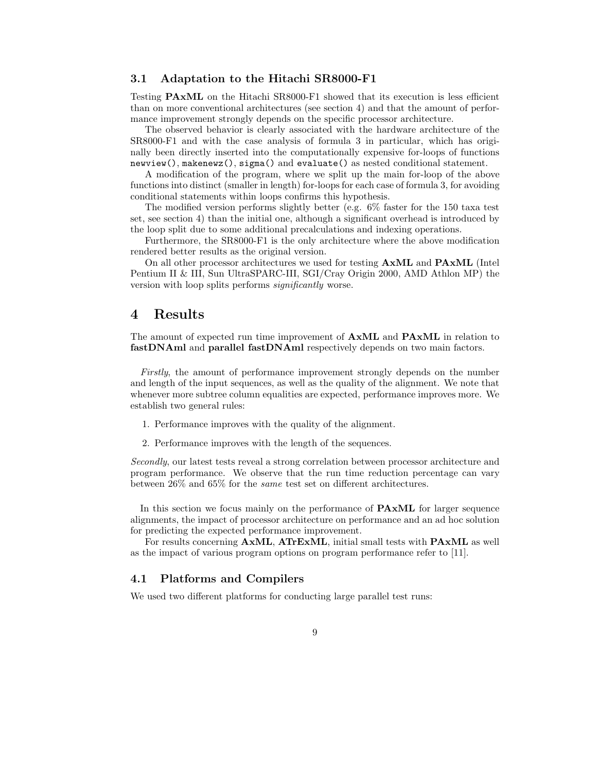#### **3.1 Adaptation to the Hitachi SR8000-F1**

Testing **PAxML** on the Hitachi SR8000-F1 showed that its execution is less efficient than on more conventional architectures (see section 4) and that the amount of performance improvement strongly depends on the specific processor architecture.

The observed behavior is clearly associated with the hardware architecture of the SR8000-F1 and with the case analysis of formula 3 in particular, which has originally been directly inserted into the computationally expensive for-loops of functions newview(), makenewz(), sigma() and evaluate() as nested conditional statement.

A modification of the program, where we split up the main for-loop of the above functions into distinct (smaller in length) for-loops for each case of formula 3, for avoiding conditional statements within loops confirms this hypothesis.

The modified version performs slightly better (e.g. 6% faster for the 150 taxa test set, see section 4) than the initial one, although a significant overhead is introduced by the loop split due to some additional precalculations and indexing operations.

Furthermore, the SR8000-F1 is the only architecture where the above modification rendered better results as the original version.

On all other processor architectures we used for testing **AxML** and **PAxML** (Intel Pentium II & III, Sun UltraSPARC-III, SGI/Cray Origin 2000, AMD Athlon MP) the version with loop splits performs *significantly* worse.

## **4 Results**

The amount of expected run time improvement of **AxML** and **PAxML** in relation to **fastDNAml** and **parallel fastDNAml** respectively depends on two main factors.

*Firstly*, the amount of performance improvement strongly depends on the number and length of the input sequences, as well as the quality of the alignment. We note that whenever more subtree column equalities are expected, performance improves more. We establish two general rules:

- 1. Performance improves with the quality of the alignment.
- 2. Performance improves with the length of the sequences.

*Secondly*, our latest tests reveal a strong correlation between processor architecture and program performance. We observe that the run time reduction percentage can vary between 26% and 65% for the *same* test set on different architectures.

In this section we focus mainly on the performance of **PAxML** for larger sequence alignments, the impact of processor architecture on performance and an ad hoc solution for predicting the expected performance improvement.

For results concerning **AxML**, **ATrExML**, initial small tests with **PAxML** as well as the impact of various program options on program performance refer to [11].

### **4.1 Platforms and Compilers**

We used two different platforms for conducting large parallel test runs: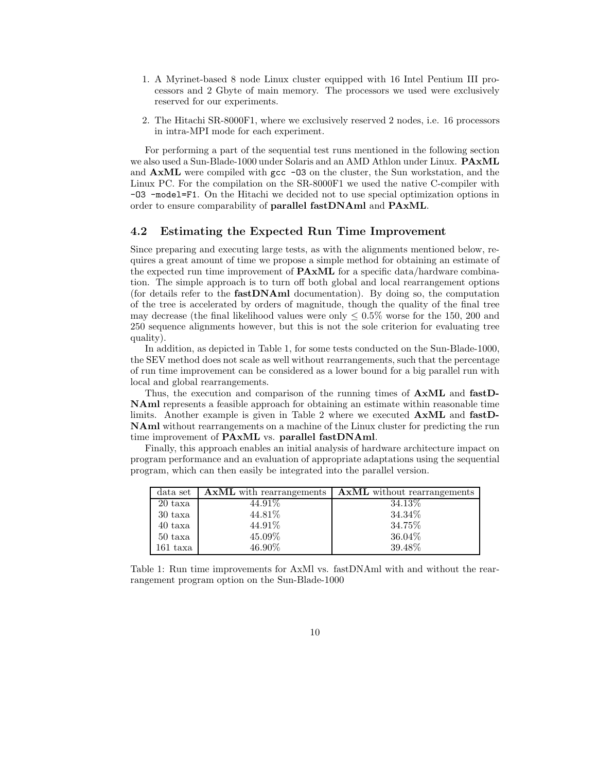- 1. A Myrinet-based 8 node Linux cluster equipped with 16 Intel Pentium III processors and 2 Gbyte of main memory. The processors we used were exclusively reserved for our experiments.
- 2. The Hitachi SR-8000F1, where we exclusively reserved 2 nodes, i.e. 16 processors in intra-MPI mode for each experiment.

For performing a part of the sequential test runs mentioned in the following section we also used a Sun-Blade-1000 under Solaris and an AMD Athlon under Linux. **PAxML** and **AxML** were compiled with gcc -03 on the cluster, the Sun workstation, and the Linux PC. For the compilation on the SR-8000F1 we used the native C-compiler with -O3 -model=F1. On the Hitachi we decided not to use special optimization options in order to ensure comparability of **parallel fastDNAml** and **PAxML**.

#### **4.2 Estimating the Expected Run Time Improvement**

Since preparing and executing large tests, as with the alignments mentioned below, requires a great amount of time we propose a simple method for obtaining an estimate of the expected run time improvement of **PAxML** for a specific data/hardware combination. The simple approach is to turn off both global and local rearrangement options (for details refer to the **fastDNAml** documentation). By doing so, the computation of the tree is accelerated by orders of magnitude, though the quality of the final tree may decrease (the final likelihood values were only  $\leq 0.5\%$  worse for the 150, 200 and 250 sequence alignments however, but this is not the sole criterion for evaluating tree quality).

In addition, as depicted in Table 1, for some tests conducted on the Sun-Blade-1000, the SEV method does not scale as well without rearrangements, such that the percentage of run time improvement can be considered as a lower bound for a big parallel run with local and global rearrangements.

Thus, the execution and comparison of the running times of **AxML** and **fastD-NAml** represents a feasible approach for obtaining an estimate within reasonable time limits. Another example is given in Table 2 where we executed **AxML** and **fastD-NAml** without rearrangements on a machine of the Linux cluster for predicting the run time improvement of **PAxML** vs. **parallel fastDNAml**.

Finally, this approach enables an initial analysis of hardware architecture impact on program performance and an evaluation of appropriate adaptations using the sequential program, which can then easily be integrated into the parallel version.

| data set            | <b>AxML</b> with rearrangements | <b>AxML</b> without rearrangements |
|---------------------|---------------------------------|------------------------------------|
| $20\,\mathrm{taxa}$ | 44.91\%                         | 34.13\%                            |
| 30 taxa             | 44.81\%                         | 34.34%                             |
| $40\,\mathrm{taxa}$ | 44.91%                          | 34.75%                             |
| $50$ taxa           | 45.09%                          | 36.04%                             |
| $161$ taxa          | 46.90%                          | 39.48%                             |

Table 1: Run time improvements for AxMl vs. fastDNAml with and without the rearrangement program option on the Sun-Blade-1000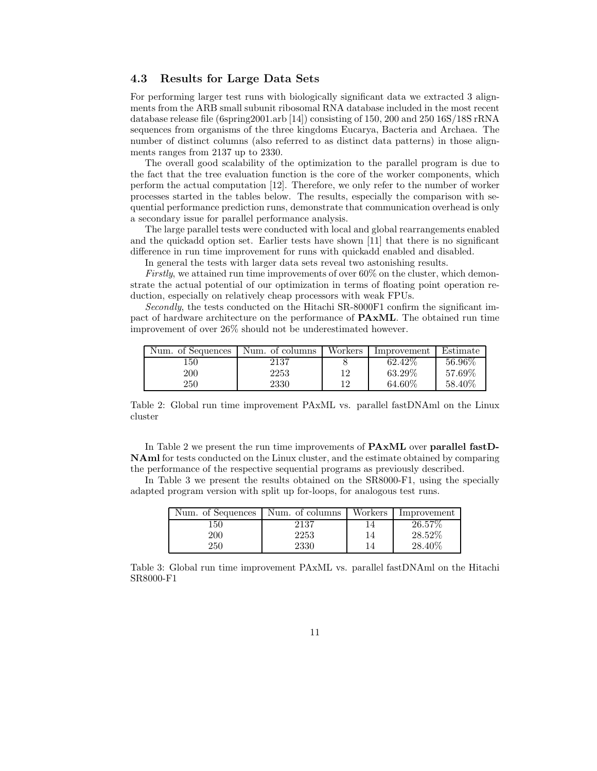### **4.3 Results for Large Data Sets**

For performing larger test runs with biologically significant data we extracted 3 alignments from the ARB small subunit ribosomal RNA database included in the most recent database release file (6spring2001.arb [14]) consisting of 150, 200 and 250 16S/18S rRNA sequences from organisms of the three kingdoms Eucarya, Bacteria and Archaea. The number of distinct columns (also referred to as distinct data patterns) in those alignments ranges from 2137 up to 2330.

The overall good scalability of the optimization to the parallel program is due to the fact that the tree evaluation function is the core of the worker components, which perform the actual computation [12]. Therefore, we only refer to the number of worker processes started in the tables below. The results, especially the comparison with sequential performance prediction runs, demonstrate that communication overhead is only a secondary issue for parallel performance analysis.

The large parallel tests were conducted with local and global rearrangements enabled and the quickadd option set. Earlier tests have shown [11] that there is no significant difference in run time improvement for runs with quickadd enabled and disabled.

In general the tests with larger data sets reveal two astonishing results.

*Firstly*, we attained run time improvements of over 60% on the cluster, which demonstrate the actual potential of our optimization in terms of floating point operation reduction, especially on relatively cheap processors with weak FPUs.

*Secondly*, the tests conducted on the Hitachi SR-8000F1 confirm the significant impact of hardware architecture on the performance of **PAxML**. The obtained run time improvement of over 26% should not be underestimated however.

| Num. of Sequences | Num.<br>of columns | Workers | Improvement | Estimate |
|-------------------|--------------------|---------|-------------|----------|
| 150               | 2137               |         | 62.42\%     | 56.96\%  |
| 200               | 2253               | 1 ດ     | 63.29%      | 57.69%   |
| 250               | 2330               | 1 ດ     | 64.60%      | 58.40%   |

Table 2: Global run time improvement PAxML vs. parallel fastDNAml on the Linux cluster

In Table 2 we present the run time improvements of **PAxML** over **parallel fastD-NAml** for tests conducted on the Linux cluster, and the estimate obtained by comparing the performance of the respective sequential programs as previously described.

In Table 3 we present the results obtained on the SR8000-F1, using the specially adapted program version with split up for-loops, for analogous test runs.

| Num. of Sequences | Num. of columns | Workers | Improvement |
|-------------------|-----------------|---------|-------------|
| 150               | 2137            |         | 26.57\%     |
| 200               | 2253            | 14      | 28.52%      |
| 250               | 2330            | 14      | 28.40%      |

Table 3: Global run time improvement PAxML vs. parallel fastDNAml on the Hitachi SR8000-F1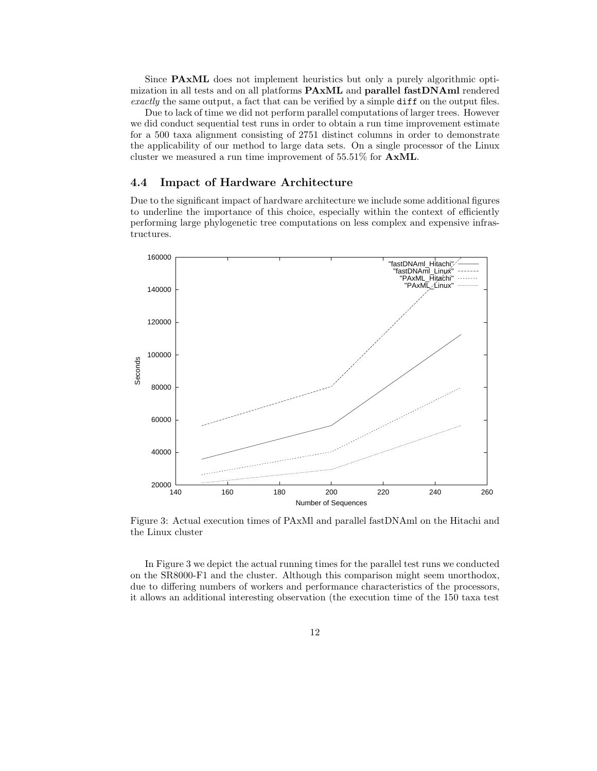Since **PAxML** does not implement heuristics but only a purely algorithmic optimization in all tests and on all platforms **PAxML** and **parallel fastDNAml** rendered *exactly* the same output, a fact that can be verified by a simple diff on the output files.

Due to lack of time we did not perform parallel computations of larger trees. However we did conduct sequential test runs in order to obtain a run time improvement estimate for a 500 taxa alignment consisting of 2751 distinct columns in order to demonstrate the applicability of our method to large data sets. On a single processor of the Linux cluster we measured a run time improvement of 55.51% for **AxML**.

### **4.4 Impact of Hardware Architecture**

Due to the significant impact of hardware architecture we include some additional figures to underline the importance of this choice, especially within the context of efficiently performing large phylogenetic tree computations on less complex and expensive infrastructures.



Figure 3: Actual execution times of PAxMl and parallel fastDNAml on the Hitachi and the Linux cluster

In Figure 3 we depict the actual running times for the parallel test runs we conducted on the SR8000-F1 and the cluster. Although this comparison might seem unorthodox, due to differing numbers of workers and performance characteristics of the processors, it allows an additional interesting observation (the execution time of the 150 taxa test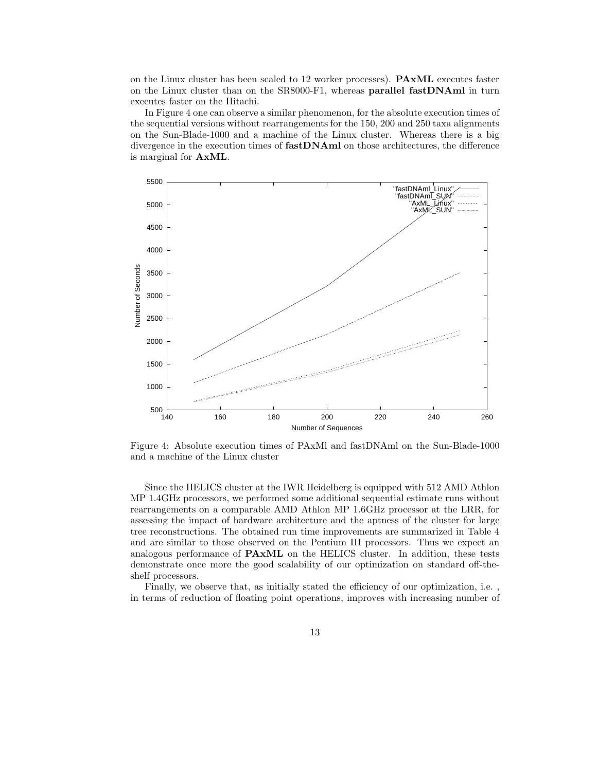on the Linux cluster has been scaled to 12 worker processes). **PAxML** executes faster on the Linux cluster than on the SR8000-F1, whereas **parallel fastDNAml** in turn executes faster on the Hitachi.

In Figure 4 one can observe a similar phenomenon, for the absolute execution times of the sequential versions without rearrangements for the 150, 200 and 250 taxa alignments on the Sun-Blade-1000 and a machine of the Linux cluster. Whereas there is a big divergence in the execution times of **fastDNAml** on those architectures, the difference is marginal for **AxML**.



Figure 4: Absolute execution times of PAxMl and fastDNAml on the Sun-Blade-1000 and a machine of the Linux cluster

Since the HELICS cluster at the IWR Heidelberg is equipped with 512 AMD Athlon MP 1.4GHz processors, we performed some additional sequential estimate runs without rearrangements on a comparable AMD Athlon MP 1.6GHz processor at the LRR, for assessing the impact of hardware architecture and the aptness of the cluster for large tree reconstructions. The obtained run time improvements are summarized in Table 4 and are similar to those observed on the Pentium III processors. Thus we expect an analogous performance of **PAxML** on the HELICS cluster. In addition, these tests demonstrate once more the good scalability of our optimization on standard off-theshelf processors.

Finally, we observe that, as initially stated the efficiency of our optimization, i.e. in terms of reduction of floating point operations, improves with increasing number of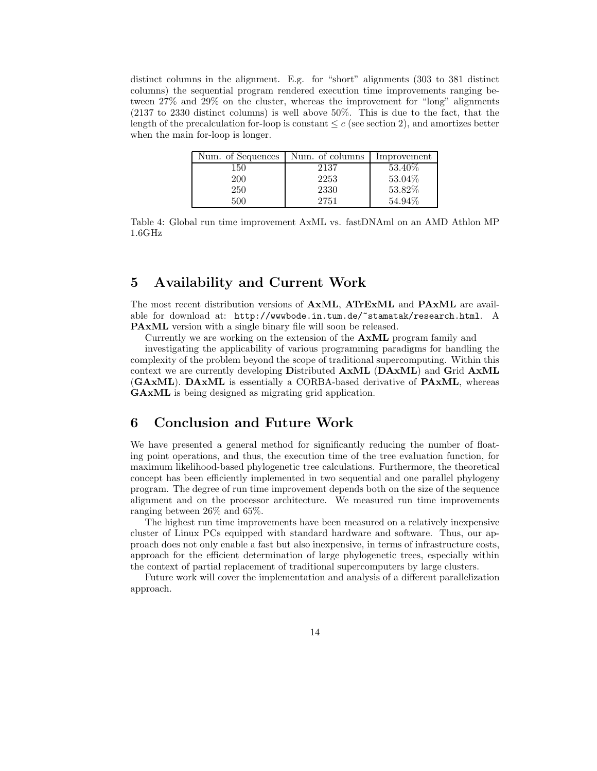distinct columns in the alignment. E.g. for "short" alignments (303 to 381 distinct columns) the sequential program rendered execution time improvements ranging between 27% and 29% on the cluster, whereas the improvement for "long" alignments (2137 to 2330 distinct columns) is well above 50%. This is due to the fact, that the length of the precalculation for-loop is constant  $\leq c$  (see section 2), and amortizes better when the main for-loop is longer.

| Num. of Sequences | Num. of columns | Improvement |
|-------------------|-----------------|-------------|
| 150               | 2137            | 53.40\%     |
| 200               | 2253            | 53.04%      |
| 250               | 2330            | 53.82%      |
| 500               | 2751            | 54.94%      |

Table 4: Global run time improvement AxML vs. fastDNAml on an AMD Athlon MP 1.6GHz

## **5 Availability and Current Work**

The most recent distribution versions of **AxML**, **ATrExML** and **PAxML** are available for download at: http://wwwbode.in.tum.de/~stamatak/research.html. A **PAxML** version with a single binary file will soon be released.

Currently we are working on the extension of the **AxML** program family and

investigating the applicability of various programming paradigms for handling the complexity of the problem beyond the scope of traditional supercomputing. Within this context we are currently developing **D**istributed **AxML** (**DAxML**) and **G**rid **AxML** (**GAxML**). **DAxML** is essentially a CORBA-based derivative of **PAxML**, whereas **GAxML** is being designed as migrating grid application.

## **6 Conclusion and Future Work**

We have presented a general method for significantly reducing the number of floating point operations, and thus, the execution time of the tree evaluation function, for maximum likelihood-based phylogenetic tree calculations. Furthermore, the theoretical concept has been efficiently implemented in two sequential and one parallel phylogeny program. The degree of run time improvement depends both on the size of the sequence alignment and on the processor architecture. We measured run time improvements ranging between 26% and 65%.

The highest run time improvements have been measured on a relatively inexpensive cluster of Linux PCs equipped with standard hardware and software. Thus, our approach does not only enable a fast but also inexpensive, in terms of infrastructure costs, approach for the efficient determination of large phylogenetic trees, especially within the context of partial replacement of traditional supercomputers by large clusters.

Future work will cover the implementation and analysis of a different parallelization approach.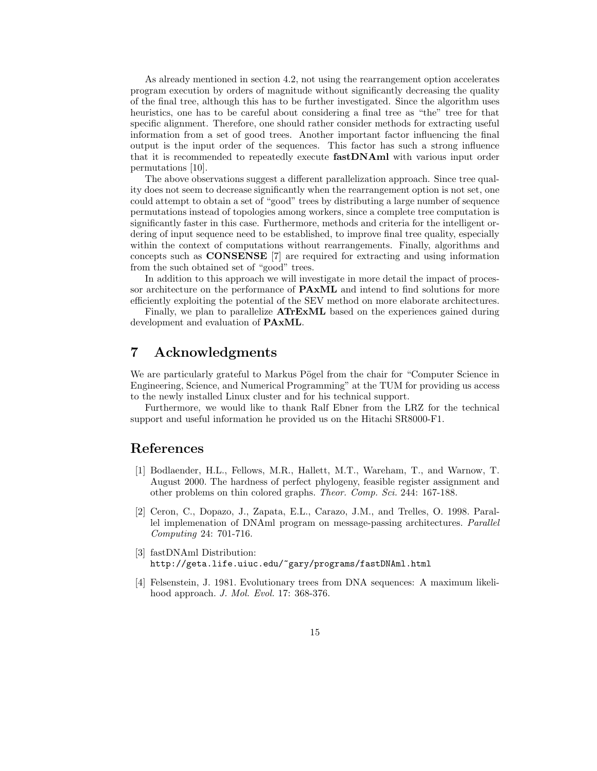As already mentioned in section 4.2, not using the rearrangement option accelerates program execution by orders of magnitude without significantly decreasing the quality of the final tree, although this has to be further investigated. Since the algorithm uses heuristics, one has to be careful about considering a final tree as "the" tree for that specific alignment. Therefore, one should rather consider methods for extracting useful information from a set of good trees. Another important factor influencing the final output is the input order of the sequences. This factor has such a strong influence that it is recommended to repeatedly execute **fastDNAml** with various input order permutations [10].

The above observations suggest a different parallelization approach. Since tree quality does not seem to decrease significantly when the rearrangement option is not set, one could attempt to obtain a set of "good" trees by distributing a large number of sequence permutations instead of topologies among workers, since a complete tree computation is significantly faster in this case. Furthermore, methods and criteria for the intelligent ordering of input sequence need to be established, to improve final tree quality, especially within the context of computations without rearrangements. Finally, algorithms and concepts such as **CONSENSE** [7] are required for extracting and using information from the such obtained set of "good" trees.

In addition to this approach we will investigate in more detail the impact of processor architecture on the performance of **PAxML** and intend to find solutions for more efficiently exploiting the potential of the SEV method on more elaborate architectures.

Finally, we plan to parallelize **ATrExML** based on the experiences gained during development and evaluation of **PAxML**.

## **7 Acknowledgments**

We are particularly grateful to Markus Pögel from the chair for "Computer Science in Engineering, Science, and Numerical Programming" at the TUM for providing us access to the newly installed Linux cluster and for his technical support.

Furthermore, we would like to thank Ralf Ebner from the LRZ for the technical support and useful information he provided us on the Hitachi SR8000-F1.

## **References**

- [1] Bodlaender, H.L., Fellows, M.R., Hallett, M.T., Wareham, T., and Warnow, T. August 2000. The hardness of perfect phylogeny, feasible register assignment and other problems on thin colored graphs. *Theor. Comp. Sci.* 244: 167-188.
- [2] Ceron, C., Dopazo, J., Zapata, E.L., Carazo, J.M., and Trelles, O. 1998. Parallel implemenation of DNAml program on message-passing architectures. *Parallel Computing* 24: 701-716.
- [3] fastDNAml Distribution: http://geta.life.uiuc.edu/~gary/programs/fastDNAml.html
- [4] Felsenstein, J. 1981. Evolutionary trees from DNA sequences: A maximum likelihood approach. *J. Mol. Evol.* 17: 368-376.